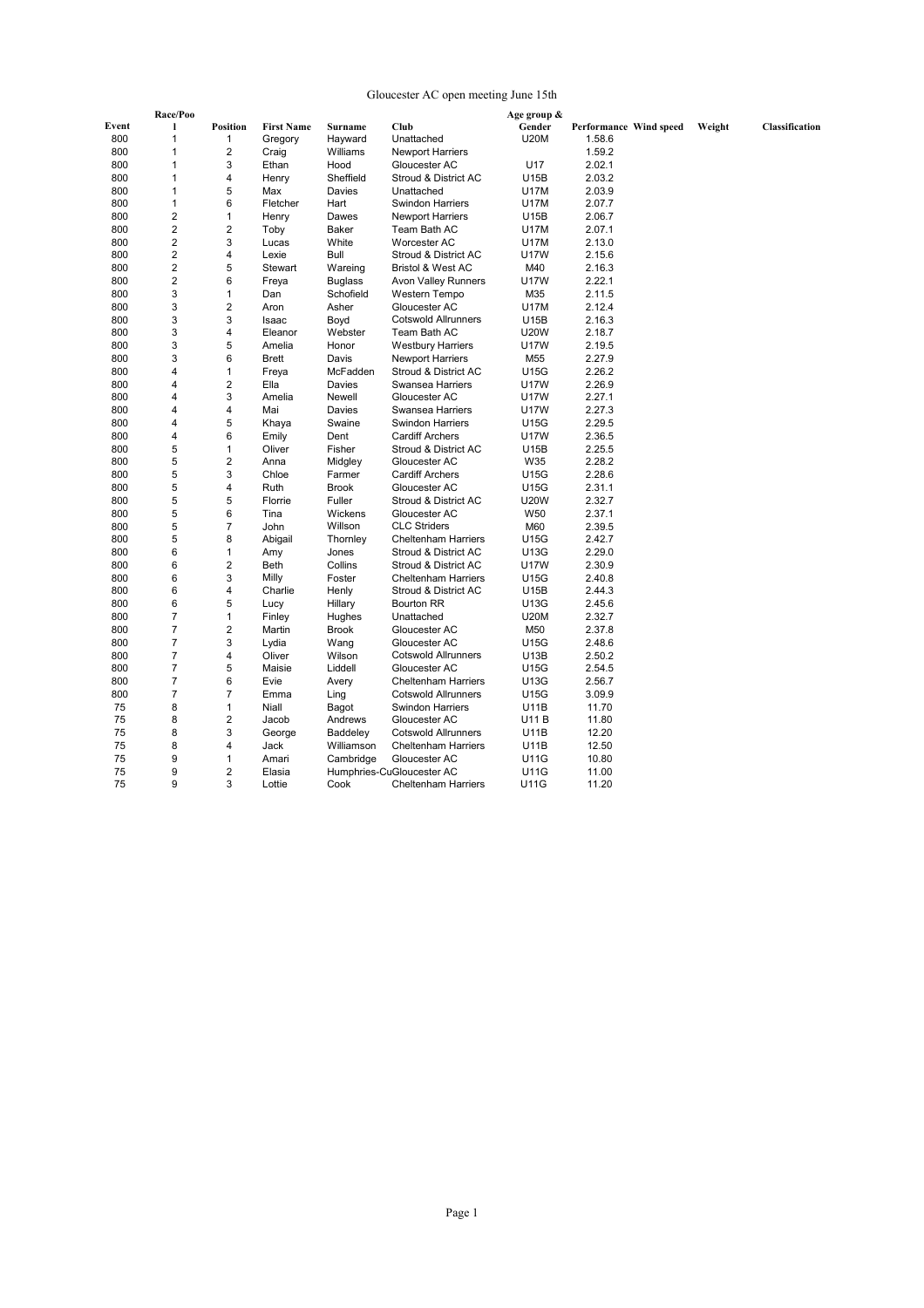### Gloucester AC open meeting June 15th

|       | Race/Poo       |                         |                   |                |                              | Age group & |                        |        |                |
|-------|----------------|-------------------------|-------------------|----------------|------------------------------|-------------|------------------------|--------|----------------|
| Event | 1              | <b>Position</b>         | <b>First Name</b> | Surname        | Club                         | Gender      | Performance Wind speed | Weight | Classification |
| 800   | $\overline{1}$ | 1                       | Gregory           | Hayward        | Unattached                   | <b>U20M</b> | 1.58.6                 |        |                |
| 800   | $\overline{1}$ | 2                       | Craig             | Williams       | <b>Newport Harriers</b>      |             | 1.59.2                 |        |                |
| 800   | $\overline{1}$ | 3                       | Ethan             | Hood           | Gloucester AC                | U17         | 2.02.1                 |        |                |
| 800   | $\mathbf{1}$   | 4                       | Henry             | Sheffield      | Stroud & District AC         | U15B        | 2.03.2                 |        |                |
| 800   | $\mathbf{1}$   | 5                       | Max               | Davies         | Unattached                   | <b>U17M</b> | 2.03.9                 |        |                |
| 800   | $\mathbf{1}$   | 6                       | Fletcher          | Hart           | <b>Swindon Harriers</b>      | <b>U17M</b> | 2.07.7                 |        |                |
| 800   | $\overline{2}$ | $\mathbf{1}$            | Henry             | Dawes          | <b>Newport Harriers</b>      | U15B        | 2.06.7                 |        |                |
| 800   | $\overline{2}$ | $\overline{2}$          | Toby              | <b>Baker</b>   | Team Bath AC                 | <b>U17M</b> | 2.07.1                 |        |                |
| 800   | $\overline{2}$ | 3                       | Lucas             | White          | Worcester AC                 | <b>U17M</b> | 2.13.0                 |        |                |
| 800   | $\mathbf 2$    | 4                       | Lexie             | Bull           | Stroud & District AC         | <b>U17W</b> | 2.15.6                 |        |                |
| 800   | $\overline{2}$ | 5                       | Stewart           | Wareing        | <b>Bristol &amp; West AC</b> | M40         | 2.16.3                 |        |                |
| 800   | $\overline{2}$ | 6                       | Freya             | <b>Buglass</b> | <b>Avon Valley Runners</b>   | <b>U17W</b> | 2.22.1                 |        |                |
| 800   | 3              | 1                       | Dan               | Schofield      | Western Tempo                | M35         | 2.11.5                 |        |                |
| 800   | 3              | 2                       | Aron              | Asher          | Gloucester AC                | <b>U17M</b> | 2.12.4                 |        |                |
| 800   | 3              | 3                       | Isaac             | Boyd           | <b>Cotswold Allrunners</b>   | U15B        | 2.16.3                 |        |                |
| 800   | 3              | 4                       | Eleanor           | Webster        | Team Bath AC                 | <b>U20W</b> | 2.18.7                 |        |                |
| 800   | 3              | 5                       | Amelia            | Honor          | <b>Westbury Harriers</b>     | <b>U17W</b> | 2.19.5                 |        |                |
| 800   | 3              | 6                       | <b>Brett</b>      | Davis          | <b>Newport Harriers</b>      | M55         | 2.27.9                 |        |                |
| 800   | $\overline{4}$ | 1                       | Freya             | McFadden       | Stroud & District AC         | U15G        | 2.26.2                 |        |                |
| 800   | $\overline{4}$ | $\overline{2}$          | Ella              | Davies         | Swansea Harriers             | <b>U17W</b> | 2.26.9                 |        |                |
| 800   | $\overline{4}$ | 3                       | Amelia            | Newell         | Gloucester AC                | <b>U17W</b> | 2.27.1                 |        |                |
| 800   | 4              | 4                       | Mai               | Davies         | Swansea Harriers             | <b>U17W</b> | 2.27.3                 |        |                |
| 800   | $\overline{4}$ | 5                       | Khaya             | Swaine         | <b>Swindon Harriers</b>      | <b>U15G</b> | 2.29.5                 |        |                |
| 800   | $\overline{4}$ | 6                       | Emily             | Dent           | <b>Cardiff Archers</b>       | <b>U17W</b> | 2.36.5                 |        |                |
| 800   | 5              | 1                       | Oliver            | Fisher         | Stroud & District AC         | U15B        | 2.25.5                 |        |                |
| 800   | 5              | 2                       | Anna              | Midgley        | Gloucester AC                | W35         | 2.28.2                 |        |                |
| 800   | 5              | 3                       | Chloe             | Farmer         | <b>Cardiff Archers</b>       | U15G        | 2.28.6                 |        |                |
| 800   | 5              | 4                       | Ruth              | <b>Brook</b>   | Gloucester AC                | U15G        | 2.31.1                 |        |                |
| 800   | 5              | 5                       | Florrie           | Fuller         | Stroud & District AC         | <b>U20W</b> | 2.32.7                 |        |                |
| 800   | 5              | 6                       | Tina              | Wickens        | Gloucester AC                | W50         | 2.37.1                 |        |                |
| 800   | 5              | $\overline{7}$          | John              | Willson        | <b>CLC Striders</b>          | M60         | 2.39.5                 |        |                |
| 800   | 5              | 8                       | Abigail           | Thornley       | <b>Cheltenham Harriers</b>   | U15G        | 2.42.7                 |        |                |
| 800   | 6              | 1                       | Amy               | Jones          | Stroud & District AC         | U13G        | 2.29.0                 |        |                |
| 800   | 6              | $\overline{2}$          | Beth              | Collins        | Stroud & District AC         | <b>U17W</b> | 2.30.9                 |        |                |
| 800   | 6              | 3                       | Milly             | Foster         | <b>Cheltenham Harriers</b>   | U15G        | 2.40.8                 |        |                |
| 800   | 6              | 4                       | Charlie           | Henly          | Stroud & District AC         | <b>U15B</b> | 2.44.3                 |        |                |
| 800   | 6              | 5                       | Lucy              | Hillary        | <b>Bourton RR</b>            | U13G        | 2.45.6                 |        |                |
| 800   | $\overline{7}$ | 1                       | Finley            | Hughes         | Unattached                   | <b>U20M</b> | 2.32.7                 |        |                |
| 800   | $\overline{7}$ | $\overline{\mathbf{c}}$ | Martin            | <b>Brook</b>   | Gloucester AC                | M50         | 2.37.8                 |        |                |
| 800   | $\overline{7}$ | 3                       | Lydia             | Wang           | Gloucester AC                | U15G        | 2.48.6                 |        |                |
| 800   | $\overline{7}$ | 4                       | Oliver            | Wilson         | <b>Cotswold Allrunners</b>   | U13B        | 2.50.2                 |        |                |
| 800   | $\overline{7}$ | 5                       | Maisie            | Liddell        | Gloucester AC                | U15G        | 2.54.5                 |        |                |
| 800   | $\overline{7}$ | 6                       | Evie              | Avery          | <b>Cheltenham Harriers</b>   | U13G        | 2.56.7                 |        |                |
| 800   | $\overline{7}$ | 7                       | Emma              | Ling           | <b>Cotswold Allrunners</b>   | U15G        | 3.09.9                 |        |                |
| 75    | 8              | 1                       | Niall             | Bagot          | <b>Swindon Harriers</b>      | U11B        | 11.70                  |        |                |
| 75    | 8              | $\overline{2}$          | Jacob             | Andrews        | Gloucester AC                | U11 B       | 11.80                  |        |                |
| 75    | 8              | 3                       | George            | Baddeley       | <b>Cotswold Allrunners</b>   | U11B        | 12.20                  |        |                |
| 75    | 8              | 4                       | Jack              | Williamson     | <b>Cheltenham Harriers</b>   | U11B        | 12.50                  |        |                |
| 75    | 9              | 1                       | Amari             | Cambridge      | Gloucester AC                | <b>U11G</b> | 10.80                  |        |                |
| 75    | 9              | $\overline{2}$          | Elasia            |                | Humphries-CuGloucester AC    | <b>U11G</b> | 11.00                  |        |                |
| 75    | 9              | 3                       | Lottie            | Cook           | <b>Cheltenham Harriers</b>   | U11G        | 11.20                  |        |                |
|       |                |                         |                   |                |                              |             |                        |        |                |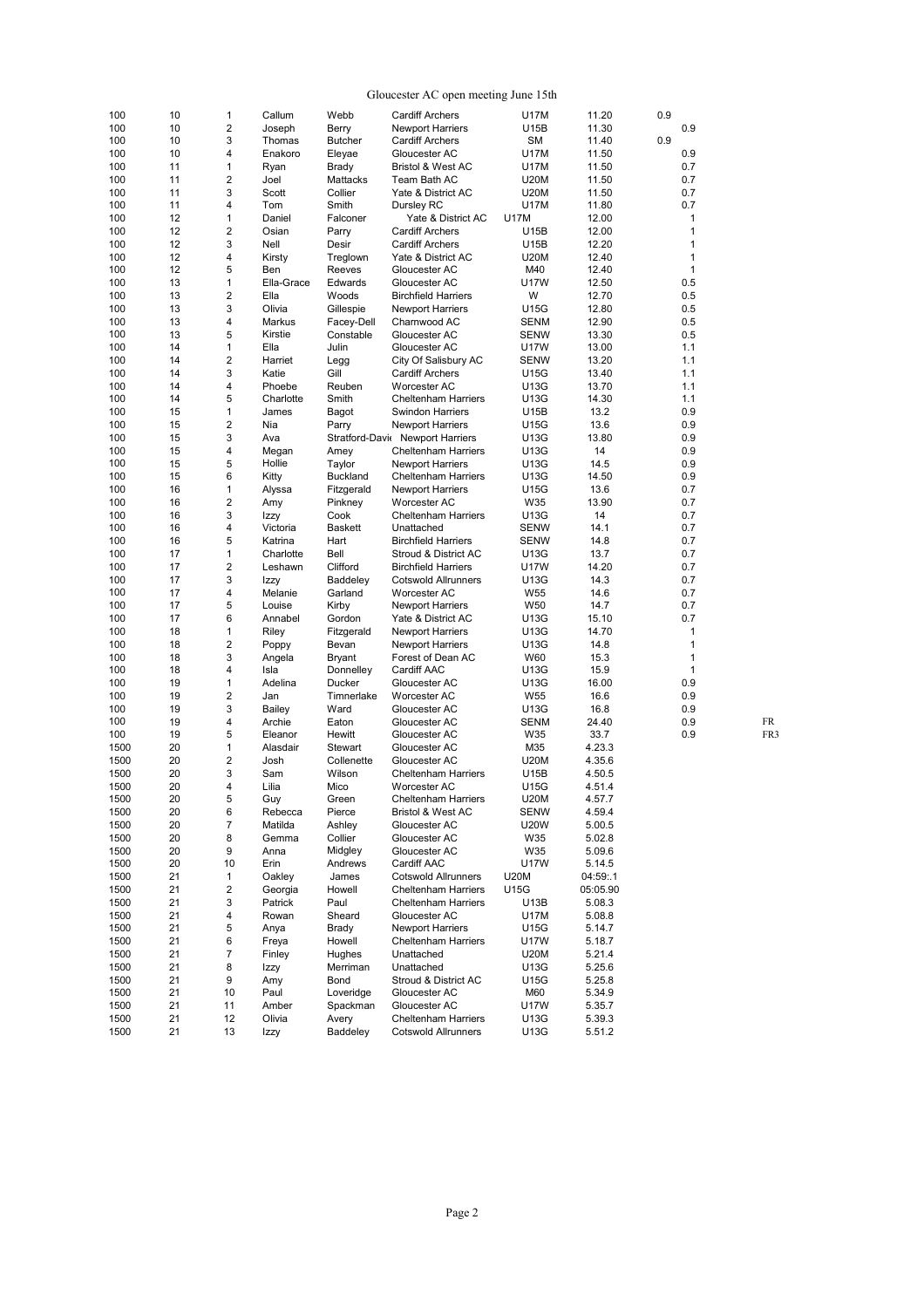| Gloucester AC open meeting June 15th |  |  |  |
|--------------------------------------|--|--|--|
|--------------------------------------|--|--|--|

|              |          |                                |                 |                  | Gloucester AC open meeting June 15th           |                     |                  |              |     |
|--------------|----------|--------------------------------|-----------------|------------------|------------------------------------------------|---------------------|------------------|--------------|-----|
| 100          | 10       | $\mathbf{1}$                   | Callum          | Webb             | <b>Cardiff Archers</b>                         | U17M                | 11.20            | 0.9          |     |
| 100          | 10       | $\overline{2}$                 | Joseph          | Berry            | <b>Newport Harriers</b>                        | U15B                | 11.30            | 0.9          |     |
| 100          | 10       | 3                              | Thomas          | <b>Butcher</b>   | <b>Cardiff Archers</b>                         | SM                  | 11.40            | 0.9          |     |
| 100          | 10       | 4                              | Enakoro         | Eleyae           | Gloucester AC                                  | U17M                | 11.50            | 0.9          |     |
| 100          | 11       | $\mathbf{1}$                   | Ryan            | <b>Brady</b>     | <b>Bristol &amp; West AC</b>                   | <b>U17M</b>         | 11.50            | 0.7          |     |
| 100          | 11       | $\overline{2}$                 | Joel            | Mattacks         | Team Bath AC                                   | <b>U20M</b>         | 11.50            | 0.7          |     |
| 100          | 11       | 3                              | Scott           | Collier          | Yate & District AC                             | <b>U20M</b>         | 11.50            | 0.7          |     |
| 100          | 11       | 4                              | Tom             | Smith            | Dursley RC                                     | U17M                | 11.80            | 0.7          |     |
| 100          | 12       | $\mathbf{1}$                   | Daniel          | Falconer         | Yate & District AC                             | <b>U17M</b>         | 12.00            | $\mathbf{1}$ |     |
| 100          | 12       | $\overline{2}$                 | Osian           | Parry            | <b>Cardiff Archers</b>                         | U15B                | 12.00            | $\mathbf{1}$ |     |
| 100          | 12       | 3                              | Nell            | Desir            | <b>Cardiff Archers</b>                         | U15B                | 12.20            | $\mathbf{1}$ |     |
| 100          | 12       | $\overline{4}$                 | Kirsty          | Treglown         | Yate & District AC                             | U20M                | 12.40            | $\mathbf{1}$ |     |
| 100          | 12       | 5                              | Ben             | Reeves           | Gloucester AC                                  | M40                 | 12.40            | $\mathbf{1}$ |     |
| 100          | 13       | $\mathbf{1}$                   | Ella-Grace      | Edwards          | Gloucester AC                                  | <b>U17W</b>         | 12.50            | 0.5          |     |
| 100          | 13       | $\overline{2}$                 | Ella            | Woods            | <b>Birchfield Harriers</b>                     | W                   | 12.70            | 0.5          |     |
| 100          | 13       | 3                              | Olivia          | Gillespie        | <b>Newport Harriers</b>                        | U15G                | 12.80            | 0.5          |     |
| 100          | 13       | 4                              | Markus          | Facey-Dell       | Charnwood AC                                   | <b>SENM</b>         | 12.90            | 0.5          |     |
| 100          | 13       | 5                              | Kirstie<br>Ella | Constable        | Gloucester AC                                  | <b>SENW</b>         | 13.30            | 0.5          |     |
| 100<br>100   | 14<br>14 | $\mathbf{1}$<br>$\overline{2}$ | Harriet         | Julin            | Gloucester AC                                  | <b>U17W</b>         | 13.00            | 1.1<br>1.1   |     |
| 100          | 14       | 3                              | Katie           | Legg<br>Gill     | City Of Salisbury AC<br><b>Cardiff Archers</b> | <b>SENW</b><br>U15G | 13.20<br>13.40   | 1.1          |     |
| 100          | 14       | 4                              | Phoebe          | Reuben           | Worcester AC                                   |                     | 13.70            | 1.1          |     |
| 100          | 14       | 5                              | Charlotte       | Smith            | <b>Cheltenham Harriers</b>                     | U13G<br>U13G        | 14.30            | 1.1          |     |
| 100          | 15       | 1                              | James           | Bagot            | <b>Swindon Harriers</b>                        | U15B                | 13.2             | 0.9          |     |
| 100          | 15       | $\overline{\mathbf{c}}$        | Nia             | Parry            | <b>Newport Harriers</b>                        | U15G                | 13.6             | 0.9          |     |
| 100          | 15       | 3                              | Ava             |                  | Stratford-Davi Newport Harriers                | U13G                | 13.80            | 0.9          |     |
| 100          | 15       | 4                              | Megan           | Amey             | <b>Cheltenham Harriers</b>                     | U13G                | 14               | 0.9          |     |
| 100          | 15       | 5                              | Hollie          | Taylor           | <b>Newport Harriers</b>                        | U13G                | 14.5             | 0.9          |     |
| 100          | 15       | 6                              | Kitty           | Buckland         | <b>Cheltenham Harriers</b>                     | U13G                | 14.50            | 0.9          |     |
| 100          | 16       | $\mathbf{1}$                   | Alyssa          | Fitzgerald       | <b>Newport Harriers</b>                        | U15G                | 13.6             | 0.7          |     |
| 100          | 16       | $\overline{2}$                 | Amy             | Pinkney          | Worcester AC                                   | W35                 | 13.90            | 0.7          |     |
| 100          | 16       | 3                              | Izzy            | Cook             | <b>Cheltenham Harriers</b>                     | U13G                | 14               | 0.7          |     |
| 100          | 16       | 4                              | Victoria        | <b>Baskett</b>   | Unattached                                     | <b>SENW</b>         | 14.1             | 0.7          |     |
| 100          | 16       | 5                              | Katrina         | Hart             | <b>Birchfield Harriers</b>                     | <b>SENW</b>         | 14.8             | 0.7          |     |
| 100          | 17       | $\mathbf{1}$                   | Charlotte       | Bell             | Stroud & District AC                           | U13G                | 13.7             | 0.7          |     |
| 100          | 17       | $\overline{2}$                 | Leshawn         | Clifford         | <b>Birchfield Harriers</b>                     | <b>U17W</b>         | 14.20            | 0.7          |     |
| 100          | 17       | 3                              | Izzy            | Baddeley         | <b>Cotswold Allrunners</b>                     | U13G                | 14.3             | 0.7          |     |
| 100          | 17       | 4                              | Melanie         | Garland          | Worcester AC                                   | W <sub>55</sub>     | 14.6             | 0.7          |     |
| 100          | 17       | 5                              | Louise          | Kirby            | <b>Newport Harriers</b>                        | W <sub>50</sub>     | 14.7             | 0.7          |     |
| 100          | 17       | 6                              | Annabel         | Gordon           | Yate & District AC                             | U13G                | 15.10            | 0.7          |     |
| 100          | 18       | $\mathbf{1}$                   | Riley           | Fitzgerald       | <b>Newport Harriers</b>                        | U13G                | 14.70            | $\mathbf{1}$ |     |
| 100          | 18       | $\overline{2}$                 | Poppy           | Bevan            | <b>Newport Harriers</b>                        | U13G                | 14.8             | $\mathbf{1}$ |     |
| 100          | 18       | 3                              | Angela          | <b>Bryant</b>    | Forest of Dean AC                              | W60                 | 15.3             | $\mathbf{1}$ |     |
| 100          | 18       | 4                              | Isla            | Donnelley        | Cardiff AAC                                    | U13G                | 15.9             | $\mathbf{1}$ |     |
| 100          | 19       | $\mathbf{1}$                   | Adelina         | Ducker           | Gloucester AC                                  | U13G                | 16.00            | 0.9          |     |
| 100          | 19       | $\overline{2}$                 | Jan             | Timnerlake       | Worcester AC                                   | W <sub>55</sub>     | 16.6             | 0.9          |     |
| 100          | 19       | 3                              | Bailey          | Ward             | Gloucester AC                                  | U13G                | 16.8             | 0.9          |     |
| 100          | 19       | 4                              | Archie          | Eaton            | Gloucester AC                                  | <b>SENM</b>         | 24.40            | 0.9          | FR  |
| 100          | 19       | 5                              | Eleanor         | Hewitt           | Gloucester AC                                  | W35                 | 33.7             | 0.9          | FR3 |
| 1500         | 20       | 1                              | Alasdair        | <b>Stewart</b>   | Gloucester AC                                  | M35                 | 4.23.3           |              |     |
| 1500         | 20       | $\overline{2}$                 | Josh            | Collenette       | Gloucester AC                                  | U20M                | 4.35.6           |              |     |
| 1500         | 20       | 3                              | Sam             | Wilson           | <b>Cheltenham Harriers</b>                     | U15B                | 4.50.5           |              |     |
| 1500         | 20       | 4                              | Lilia           | Mico             | Worcester AC                                   | U15G                | 4.51.4           |              |     |
| 1500         | 20       | 5                              | Guy             | Green            | <b>Cheltenham Harriers</b>                     | <b>U20M</b>         | 4.57.7           |              |     |
| 1500         | 20       | 6                              | Rebecca         | Pierce           | Bristol & West AC                              | <b>SENW</b>         | 4.59.4           |              |     |
| 1500         | 20       | $\overline{7}$                 | Matilda         | Ashley           | Gloucester AC                                  | <b>U20W</b>         | 5.00.5           |              |     |
| 1500         | 20       | 8                              | Gemma           | Collier          | Gloucester AC                                  | W35                 | 5.02.8           |              |     |
| 1500         | 20       | 9                              | Anna            | Midgley          | Gloucester AC                                  | W35                 | 5.09.6           |              |     |
| 1500         | 20       | 10                             | Erin            | Andrews          | Cardiff AAC                                    | <b>U17W</b>         | 5.14.5           |              |     |
| 1500         | 21       | 1                              | Oakley          | James            | <b>Cotswold Allrunners</b>                     | <b>U20M</b>         | 04:59:.1         |              |     |
| 1500         | 21       | $\overline{\mathbf{c}}$        | Georgia         | Howell           | <b>Cheltenham Harriers</b>                     | U15G                | 05:05.90         |              |     |
| 1500         | 21       | 3                              | Patrick         | Paul             | <b>Cheltenham Harriers</b>                     | U13B                | 5.08.3           |              |     |
| 1500         | 21       | 4                              | Rowan           | Sheard           | Gloucester AC                                  | <b>U17M</b>         | 5.08.8           |              |     |
| 1500         | 21       | $\mathbf 5$                    | Anya            | Brady            | Newport Harriers                               | U15G                | 5.14.7           |              |     |
| 1500         | 21       | 6                              | Freya           | Howell           | <b>Cheltenham Harriers</b>                     | U17W                | 5.18.7           |              |     |
| 1500         | 21       | 7                              | Finley          | Hughes           | Unattached                                     | <b>U20M</b>         | 5.21.4           |              |     |
| 1500         | 21       | 8                              | Izzy            | Merriman<br>Bond | Unattached                                     | U13G                | 5.25.6           |              |     |
| 1500<br>1500 | 21<br>21 | 9<br>10                        | Amy<br>Paul     | Loveridge        | Stroud & District AC<br>Gloucester AC          | U15G<br>M60         | 5.25.8           |              |     |
| 1500         | 21       | 11                             | Amber           | Spackman         | Gloucester AC                                  | U17W                | 5.34.9<br>5.35.7 |              |     |
| 1500         | 21       | 12                             | Olivia          | Avery            | Cheltenham Harriers                            | U13G                | 5.39.3           |              |     |
| 1500         | 21       | 13                             | Izzy            | Baddeley         | Cotswold Allrunners                            | U13G                | 5.51.2           |              |     |
|              |          |                                |                 |                  |                                                |                     |                  |              |     |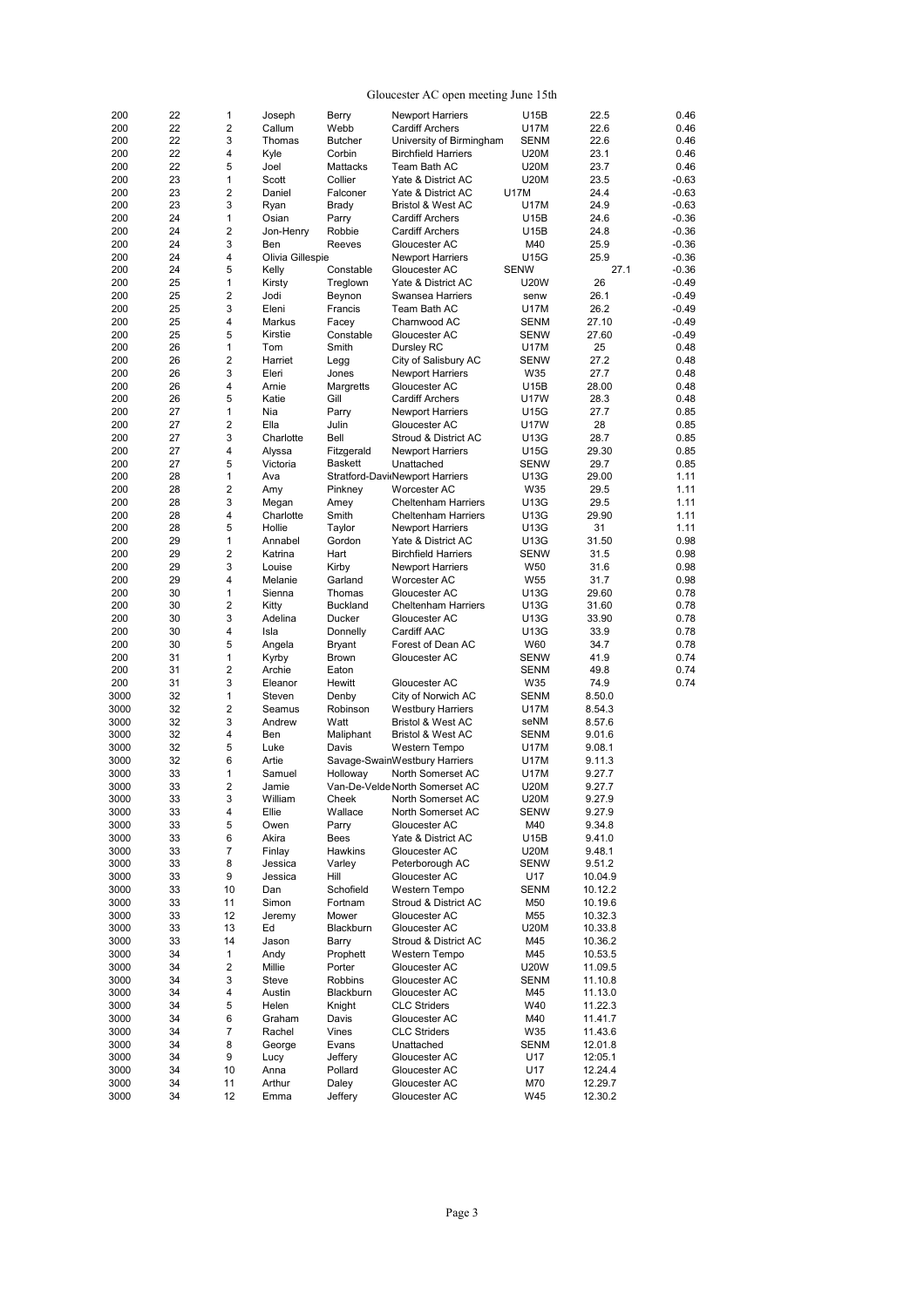#### Gloucester AC open meeting June 15th

| 200  | 22 | 1                       | Joseph           | Berry           | <b>Newport Harriers</b>         | U15B            | 22.5    | 0.46    |
|------|----|-------------------------|------------------|-----------------|---------------------------------|-----------------|---------|---------|
| 200  | 22 | $\overline{\mathbf{c}}$ | Callum           | Webb            | <b>Cardiff Archers</b>          | U17M            | 22.6    | 0.46    |
| 200  | 22 | 3                       | Thomas           | <b>Butcher</b>  | University of Birmingham        | <b>SENM</b>     | 22.6    | 0.46    |
| 200  | 22 | 4                       | Kyle             | Corbin          | <b>Birchfield Harriers</b>      | <b>U20M</b>     | 23.1    | 0.46    |
|      |    |                         |                  |                 |                                 |                 |         |         |
| 200  | 22 | 5                       | Joel             | Mattacks        | Team Bath AC                    | <b>U20M</b>     | 23.7    | 0.46    |
| 200  | 23 | 1                       | Scott            | Collier         | Yate & District AC              | <b>U20M</b>     | 23.5    | $-0.63$ |
| 200  | 23 | $\overline{\mathbf{c}}$ | Daniel           | Falconer        | Yate & District AC              | U17M            | 24.4    | $-0.63$ |
| 200  | 23 | 3                       | Ryan             | Brady           | Bristol & West AC               | U17M            | 24.9    | $-0.63$ |
| 200  | 24 | 1                       | Osian            | Parry           | <b>Cardiff Archers</b>          | U15B            | 24.6    | $-0.36$ |
| 200  | 24 | $\boldsymbol{2}$        | Jon-Henry        | Robbie          | <b>Cardiff Archers</b>          | U15B            | 24.8    | $-0.36$ |
| 200  | 24 | 3                       | Ben              | Reeves          | Gloucester AC                   | M40             | 25.9    | $-0.36$ |
|      |    |                         |                  |                 |                                 |                 |         |         |
| 200  | 24 | 4                       | Olivia Gillespie |                 | <b>Newport Harriers</b>         | U15G            | 25.9    | $-0.36$ |
| 200  | 24 | 5                       | Kelly            | Constable       | Gloucester AC                   | <b>SENW</b>     | 27.1    | $-0.36$ |
| 200  | 25 | 1                       | Kirsty           | Treglown        | Yate & District AC              | <b>U20W</b>     | 26      | $-0.49$ |
| 200  | 25 | $\overline{2}$          | Jodi             | Beynon          | Swansea Harriers                | senw            | 26.1    | $-0.49$ |
| 200  | 25 | 3                       | Eleni            | Francis         | Team Bath AC                    | U17M            | 26.2    | $-0.49$ |
| 200  | 25 | 4                       | Markus           |                 | Charnwood AC                    | <b>SENM</b>     | 27.10   | $-0.49$ |
|      |    |                         |                  | Facey           |                                 |                 |         |         |
| 200  | 25 | 5                       | Kirstie          | Constable       | Gloucester AC                   | SENW            | 27.60   | $-0.49$ |
| 200  | 26 | 1                       | Tom              | Smith           | Dursley RC                      | U17M            | 25      | 0.48    |
| 200  | 26 | $\overline{\mathbf{c}}$ | Harriet          | Legg            | City of Salisbury AC            | SENW            | 27.2    | 0.48    |
| 200  | 26 | 3                       | Eleri            | Jones           | <b>Newport Harriers</b>         | W35             | 27.7    | 0.48    |
| 200  | 26 | 4                       | Arnie            | Margretts       | Gloucester AC                   | U15B            | 28.00   | 0.48    |
| 200  | 26 | 5                       | Katie            | Gill            | <b>Cardiff Archers</b>          | <b>U17W</b>     | 28.3    | 0.48    |
|      |    |                         |                  |                 |                                 |                 |         |         |
| 200  | 27 | 1                       | Nia              | Parry           | <b>Newport Harriers</b>         | U15G            | 27.7    | 0.85    |
| 200  | 27 | $\overline{2}$          | Ella             | Julin           | Gloucester AC                   | <b>U17W</b>     | 28      | 0.85    |
| 200  | 27 | 3                       | Charlotte        | Bell            | Stroud & District AC            | U13G            | 28.7    | 0.85    |
| 200  | 27 | 4                       | Alyssa           | Fitzgerald      | <b>Newport Harriers</b>         | U15G            | 29.30   | 0.85    |
| 200  | 27 | 5                       | Victoria         | Baskett         | Unattached                      | SENW            | 29.7    | 0.85    |
| 200  | 28 | 1                       | Ava              |                 |                                 | U13G            | 29.00   | 1.11    |
|      |    |                         |                  |                 | Stratford-Davi Newport Harriers |                 |         |         |
| 200  | 28 | $\overline{2}$          | Amy              | Pinkney         | <b>Worcester AC</b>             | W35             | 29.5    | 1.11    |
| 200  | 28 | 3                       | Megan            | Amey            | <b>Cheltenham Harriers</b>      | U13G            | 29.5    | 1.11    |
| 200  | 28 | 4                       | Charlotte        | Smith           | <b>Cheltenham Harriers</b>      | U13G            | 29.90   | 1.11    |
| 200  | 28 | 5                       | Hollie           | Taylor          | <b>Newport Harriers</b>         | U13G            | 31      | 1.11    |
| 200  | 29 | 1                       | Annabel          | Gordon          | Yate & District AC              | U13G            | 31.50   | 0.98    |
| 200  | 29 | $\overline{\mathbf{c}}$ | Katrina          | Hart            | <b>Birchfield Harriers</b>      | SENW            | 31.5    | 0.98    |
|      |    |                         |                  |                 |                                 |                 |         |         |
| 200  | 29 | 3                       | Louise           | Kirby           | Newport Harriers                | W50             | 31.6    | 0.98    |
| 200  | 29 | 4                       | Melanie          | Garland         | Worcester AC                    | W <sub>55</sub> | 31.7    | 0.98    |
| 200  | 30 | $\mathbf{1}$            | Sienna           | Thomas          | Gloucester AC                   | U13G            | 29.60   | 0.78    |
| 200  | 30 | $\overline{\mathbf{c}}$ | Kitty            | <b>Buckland</b> | <b>Cheltenham Harriers</b>      | U13G            | 31.60   | 0.78    |
| 200  | 30 | 3                       | Adelina          | Ducker          | Gloucester AC                   | U13G            | 33.90   | 0.78    |
| 200  | 30 | $\overline{4}$          | Isla             | Donnelly        | Cardiff AAC                     | U13G            | 33.9    | 0.78    |
|      |    |                         |                  |                 |                                 |                 |         |         |
| 200  | 30 | 5                       | Angela           | Bryant          | Forest of Dean AC               | W60             | 34.7    | 0.78    |
| 200  | 31 | 1                       | Kyrby            | <b>Brown</b>    | Gloucester AC                   | SENW            | 41.9    | 0.74    |
| 200  | 31 | $\overline{\mathbf{c}}$ | Archie           | Eaton           |                                 | <b>SENM</b>     | 49.8    | 0.74    |
| 200  | 31 | 3                       | Eleanor          | Hewitt          | Gloucester AC                   | W35             | 74.9    | 0.74    |
| 3000 | 32 | $\mathbf{1}$            | Steven           | Denby           | City of Norwich AC              | <b>SENM</b>     | 8.50.0  |         |
|      |    |                         |                  |                 |                                 |                 |         |         |
| 3000 | 32 | $\overline{\mathbf{c}}$ | Seamus           | Robinson        | <b>Westbury Harriers</b>        | U17M            | 8.54.3  |         |
| 3000 | 32 | 3                       | Andrew           | Watt            | <b>Bristol &amp; West AC</b>    | seNM            | 8.57.6  |         |
| 3000 | 32 | 4                       | Ben              | Maliphant       | Bristol & West AC               | <b>SENM</b>     | 9.01.6  |         |
| 3000 | 32 | 5                       | Luke             | Davis           | Western Tempo                   | U17M            | 9.08.1  |         |
| 3000 | 32 | 6                       | Artie            |                 | Savage-SwainWestbury Harriers   | U17M            | 9.11.3  |         |
| 3000 | 33 | 1                       | Samuel           | Hollowav        | North Somerset AC               | U17M            | 9.27.7  |         |
|      |    |                         |                  |                 |                                 |                 |         |         |
| 3000 | 33 | $\overline{2}$          | Jamie            |                 | Van-De-Velde North Somerset AC  | <b>U20M</b>     | 9.27.7  |         |
| 3000 | 33 | 3                       | William          | Cheek           | North Somerset AC               | <b>U20M</b>     | 9.27.9  |         |
| 3000 | 33 | 4                       | Ellie            | Wallace         | North Somerset AC               | SENW            | 9.27.9  |         |
| 3000 | 33 | 5                       | Owen             | Parry           | Gloucester AC                   | M40             | 9.34.8  |         |
| 3000 | 33 | 6                       | Akira            | Bees            | Yate & District AC              | U15B            | 9.41.0  |         |
| 3000 | 33 | $\overline{7}$          | Finlay           | Hawkins         | Gloucester AC                   | <b>U20M</b>     | 9.48.1  |         |
|      |    |                         |                  |                 |                                 |                 |         |         |
| 3000 | 33 | 8                       | Jessica          | Varley          | Peterborough AC                 | <b>SENW</b>     | 9.51.2  |         |
| 3000 | 33 | 9                       | Jessica          | Hill            | Gloucester AC                   | U17             | 10.04.9 |         |
| 3000 | 33 | 10                      | Dan              | Schofield       | Western Tempo                   | <b>SENM</b>     | 10.12.2 |         |
| 3000 | 33 | 11                      | Simon            | Fortnam         | Stroud & District AC            | M50             | 10.19.6 |         |
| 3000 | 33 | 12                      | Jeremy           | Mower           | Gloucester AC                   | M55             | 10.32.3 |         |
| 3000 | 33 | 13                      | Ed               | Blackburn       | Gloucester AC                   | <b>U20M</b>     | 10.33.8 |         |
|      |    |                         |                  |                 |                                 |                 |         |         |
| 3000 | 33 | 14                      | Jason            | Barry           | Stroud & District AC            | M45             | 10.36.2 |         |
| 3000 | 34 | 1                       | Andy             | Prophett        | Western Tempo                   | M45             | 10.53.5 |         |
| 3000 | 34 | $\overline{\mathbf{c}}$ | Millie           | Porter          | Gloucester AC                   | <b>U20W</b>     | 11.09.5 |         |
| 3000 | 34 | 3                       | Steve            | Robbins         | Gloucester AC                   | <b>SENM</b>     | 11.10.8 |         |
| 3000 | 34 | 4                       | Austin           | Blackburn       | Gloucester AC                   | M45             | 11.13.0 |         |
|      | 34 |                         | Helen            | Knight          | <b>CLC Striders</b>             | W40             | 11.22.3 |         |
| 3000 |    | 5                       |                  |                 |                                 |                 |         |         |
| 3000 | 34 | 6                       | Graham           | Davis           | Gloucester AC                   | M40             | 11.41.7 |         |
| 3000 | 34 | 7                       | Rachel           | Vines           | <b>CLC Striders</b>             | W35             | 11.43.6 |         |
| 3000 | 34 | 8                       | George           | Evans           | Unattached                      | <b>SENM</b>     | 12.01.8 |         |
| 3000 | 34 | 9                       | Lucy             | Jeffery         | Gloucester AC                   | U17             | 12:05.1 |         |
| 3000 | 34 | 10                      | Anna             | Pollard         | Gloucester AC                   | U17             | 12.24.4 |         |
|      |    |                         |                  |                 |                                 |                 |         |         |
| 3000 | 34 | 11                      | Arthur           | Daley           | Gloucester AC                   | M70             | 12.29.7 |         |
| 3000 | 34 | 12                      | Emma             | Jeffery         | Gloucester AC                   | W45             | 12.30.2 |         |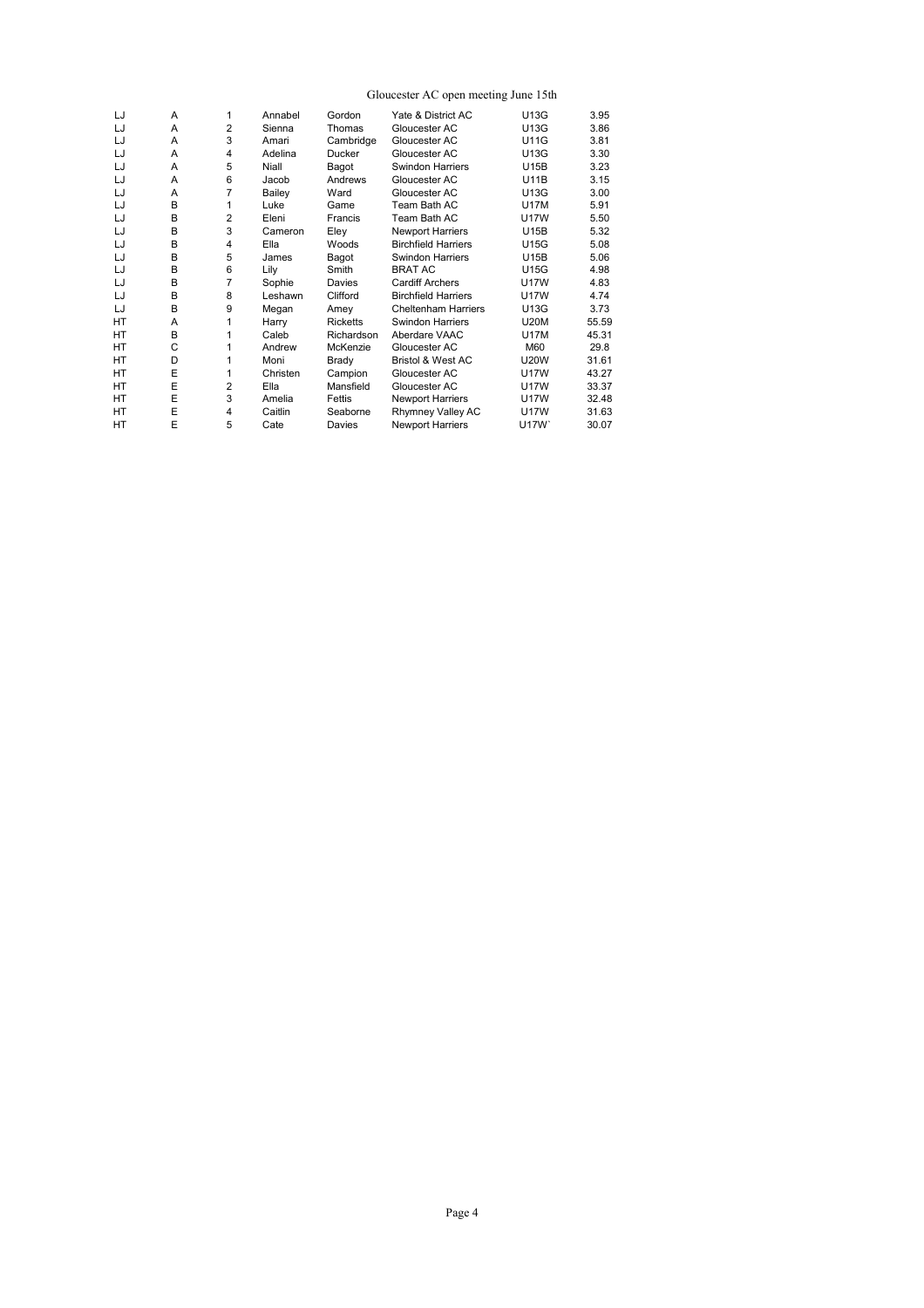### Gloucester AC open meeting June 15th

| LJ        | A | 1              | Annabel  | Gordon          | Yate & District AC           | U13G        | 3.95  |
|-----------|---|----------------|----------|-----------------|------------------------------|-------------|-------|
| LJ        | A | $\overline{2}$ | Sienna   | Thomas          | Gloucester AC                | U13G        | 3.86  |
| LJ        | A | 3              | Amari    | Cambridge       | Gloucester AC                | <b>U11G</b> | 3.81  |
| LJ        | A | 4              | Adelina  | Ducker          | Gloucester AC                | U13G        | 3.30  |
| LJ        | A | 5              | Niall    | Bagot           | <b>Swindon Harriers</b>      | <b>U15B</b> | 3.23  |
| LJ        | A | 6              | Jacob    | Andrews         | Gloucester AC                | <b>U11B</b> | 3.15  |
| LJ        | A | $\overline{7}$ | Bailey   | Ward            | Gloucester AC                | U13G        | 3.00  |
| LJ        | B | 1              | Luke     | Game            | Team Bath AC                 | <b>U17M</b> | 5.91  |
| LJ        | B | $\overline{2}$ | Eleni    | Francis         | Team Bath AC                 | <b>U17W</b> | 5.50  |
| LJ        | B | 3              | Cameron  | Eley            | <b>Newport Harriers</b>      | <b>U15B</b> | 5.32  |
| LJ        | B | 4              | Ella     | Woods           | <b>Birchfield Harriers</b>   | <b>U15G</b> | 5.08  |
| LJ        | B | 5              | James    | Bagot           | <b>Swindon Harriers</b>      | U15B        | 5.06  |
| LJ        | B | 6              | Lily     | Smith           | <b>BRAT AC</b>               | <b>U15G</b> | 4.98  |
| LJ        | B | $\overline{7}$ | Sophie   | Davies          | <b>Cardiff Archers</b>       | <b>U17W</b> | 4.83  |
| LJ        | B | 8              | Leshawn  | Clifford        | <b>Birchfield Harriers</b>   | <b>U17W</b> | 4.74  |
| LJ        | B | 9              | Megan    | Amey            | <b>Cheltenham Harriers</b>   | U13G        | 3.73  |
| <b>HT</b> | A | 1              | Harry    | <b>Ricketts</b> | <b>Swindon Harriers</b>      | <b>U20M</b> | 55.59 |
| HT        | B | 1              | Caleb    | Richardson      | Aberdare VAAC                | <b>U17M</b> | 45.31 |
| <b>HT</b> | C | 1              | Andrew   | McKenzie        | Gloucester AC                | M60         | 29.8  |
| <b>HT</b> | D | 1              | Moni     | Brady           | <b>Bristol &amp; West AC</b> | <b>U20W</b> | 31.61 |
| HT        | E | $\mathbf{1}$   | Christen | Campion         | Gloucester AC                | <b>U17W</b> | 43.27 |
| HT        | E | $\overline{2}$ | Ella     | Mansfield       | Gloucester AC                | <b>U17W</b> | 33.37 |
| <b>HT</b> | E | 3              | Amelia   | Fettis          | <b>Newport Harriers</b>      | <b>U17W</b> | 32.48 |
| <b>HT</b> | E | 4              | Caitlin  | Seaborne        | Rhymney Valley AC            | <b>U17W</b> | 31.63 |
| HT        | E | 5              | Cate     | Davies          | <b>Newport Harriers</b>      | U17W`       | 30.07 |
|           |   |                |          |                 |                              |             |       |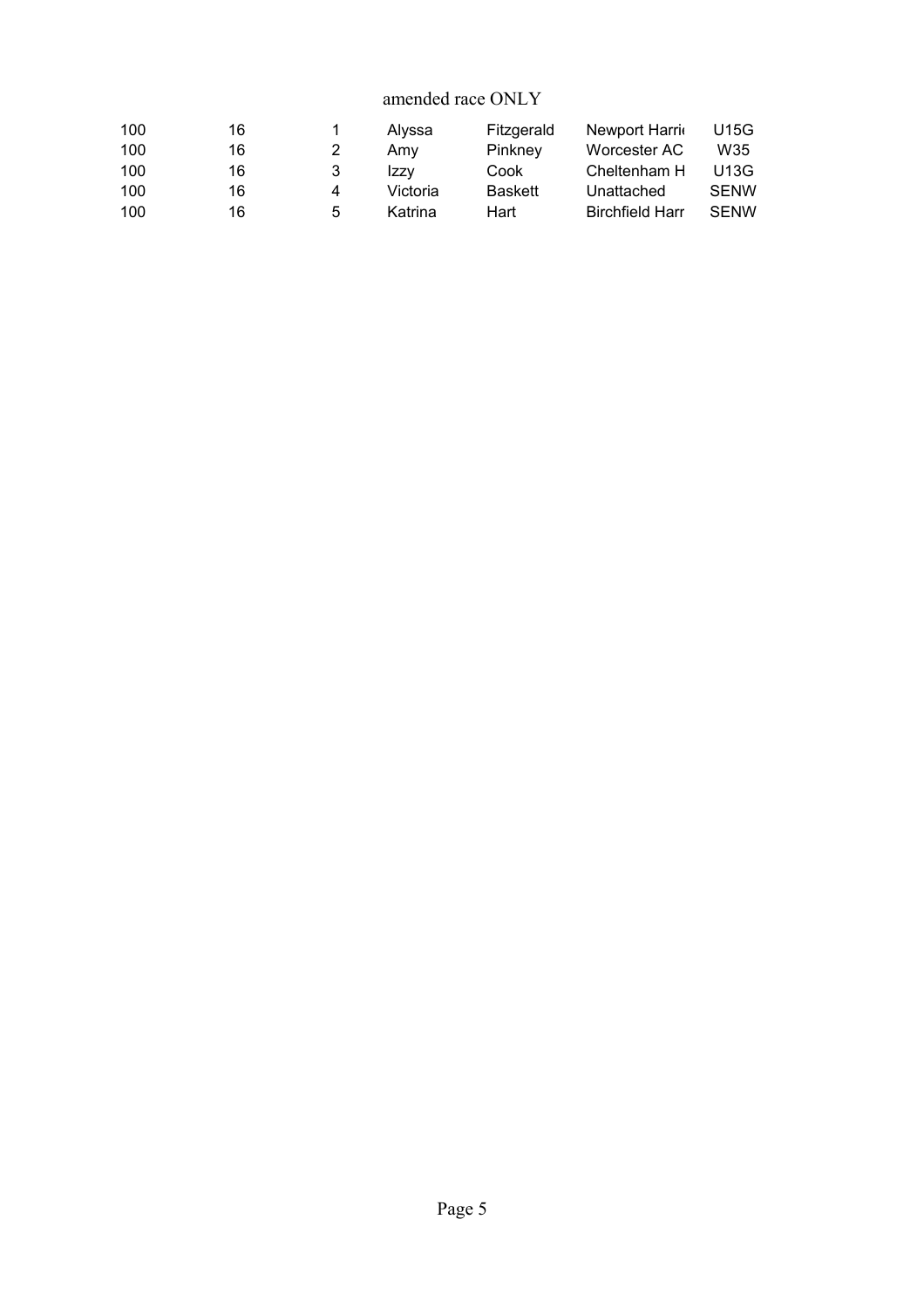# amended race ONLY

| 100 | 16 |              | Alvssa   | Fitzgerald     | Newport Harrio         | U15G        |
|-----|----|--------------|----------|----------------|------------------------|-------------|
| 100 | 16 |              | Amv      | Pinkney        | Worcester AC           | W35         |
| 100 | 16 | 3            | Izzv     | Cook           | Cheltenham H           | U13G        |
| 100 | 16 | 4            | Victoria | <b>Baskett</b> | Unattached             | <b>SENW</b> |
| 100 | 16 | $\mathbf{b}$ | Katrina  | Hart           | <b>Birchfield Harr</b> | <b>SENW</b> |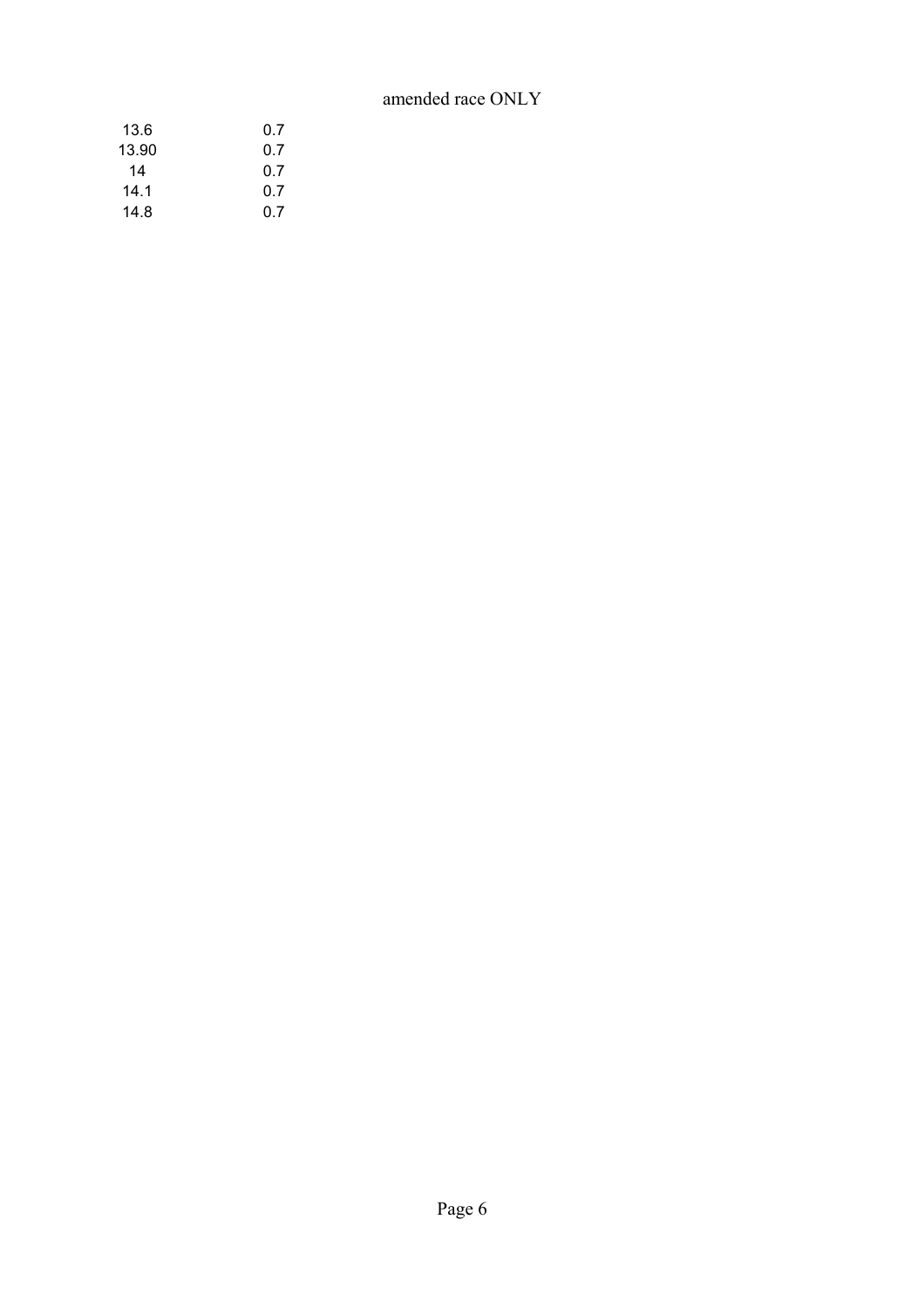# amended race ONLY

| 0.7 |
|-----|
| 0.7 |
| 0.7 |
| 0.7 |
| 0.7 |
|     |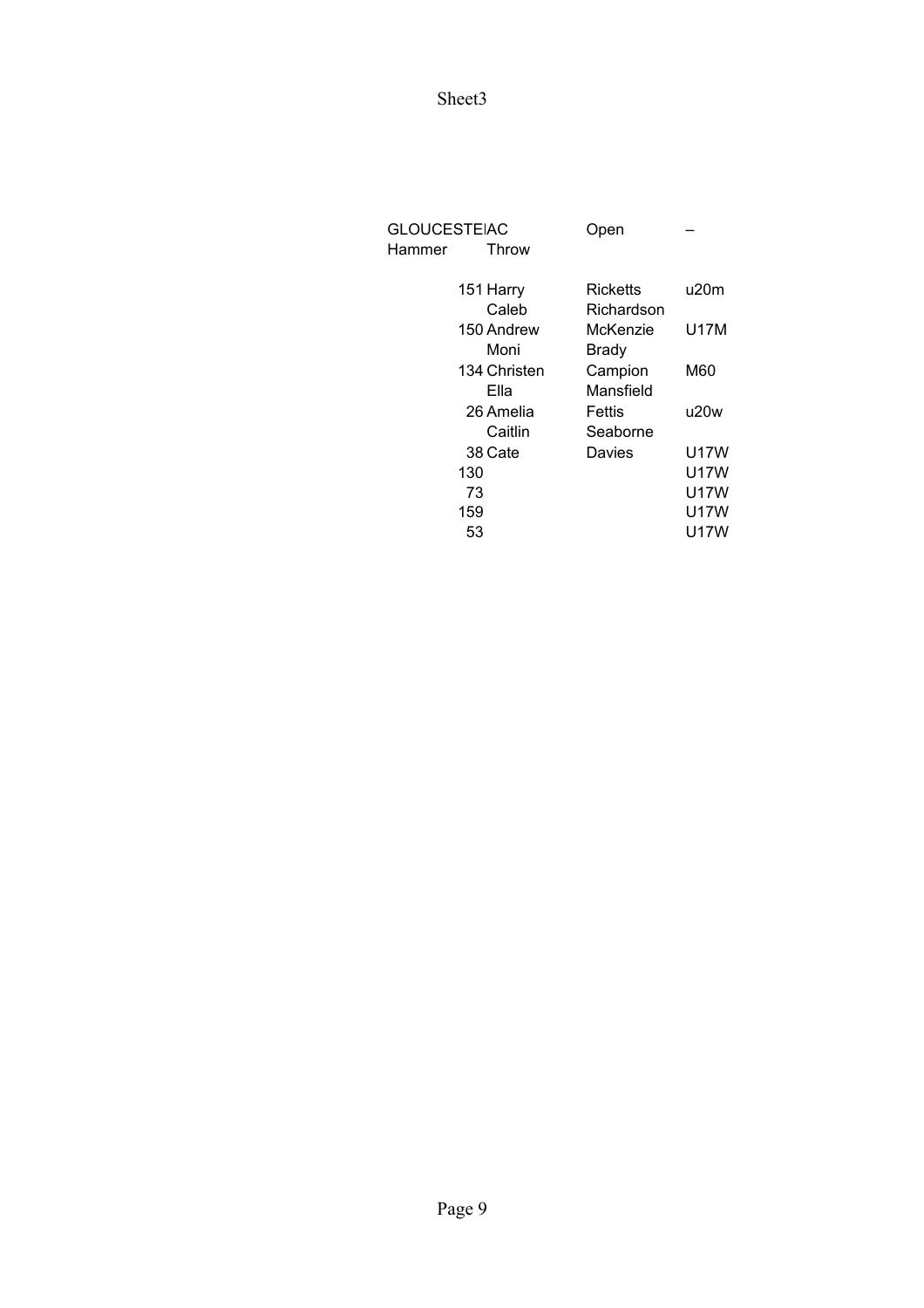| <b>GLOUCESTEIAC</b><br>Hammer | <b>Throw</b> | Open         |      |
|-------------------------------|--------------|--------------|------|
|                               | 151 Harry    | Ricketts     | u20m |
|                               | Caleb        | Richardson   |      |
|                               | 150 Andrew   | McKenzie     | U17M |
|                               | Moni         | <b>Brady</b> |      |
|                               | 134 Christen | Campion      | M60  |
|                               | Ella         | Mansfield    |      |
|                               | 26 Amelia    | Fettis       | u20w |
|                               | Caitlin      | Seaborne     |      |
|                               | 38 Cate      | Davies       | U17W |
| 130                           |              |              | U17W |
| 73                            |              |              | U17W |
| 159                           |              |              | U17W |
| 53                            |              |              | U17W |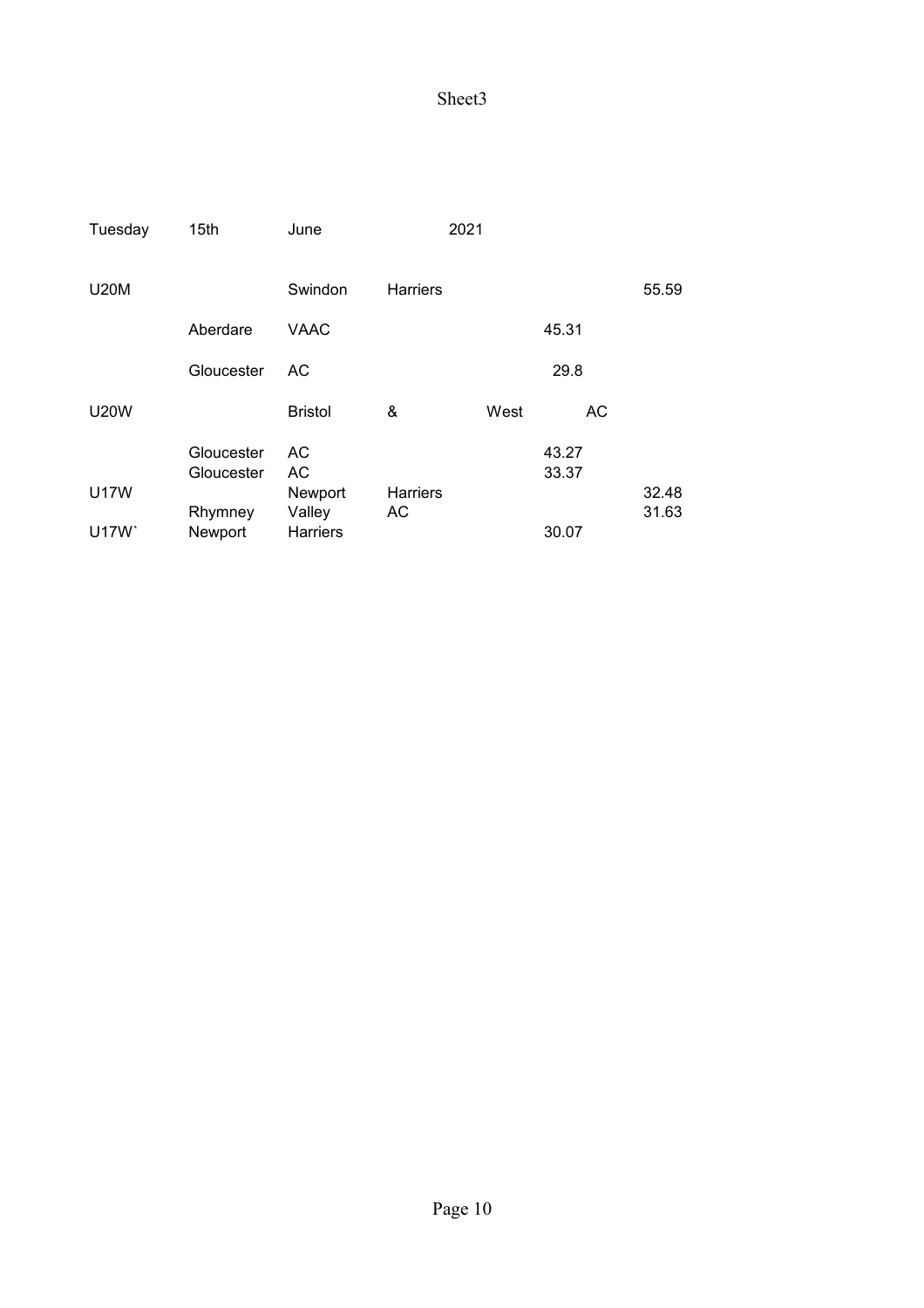| Tuesday     | 15th                     | June            |                 | 2021 |                |       |
|-------------|--------------------------|-----------------|-----------------|------|----------------|-------|
| <b>U20M</b> |                          | Swindon         | <b>Harriers</b> |      |                | 55.59 |
|             | Aberdare                 | VAAC            |                 |      | 45.31          |       |
|             | Gloucester               | AC              |                 |      | 29.8           |       |
| <b>U20W</b> |                          | <b>Bristol</b>  | &               | West | AC             |       |
|             | Gloucester<br>Gloucester | AC<br>AC        |                 |      | 43.27<br>33.37 |       |
| <b>U17W</b> |                          | Newport         | <b>Harriers</b> |      |                | 32.48 |
|             | Rhymney                  | Valley          | AC              |      |                | 31.63 |
| U17W        | Newport                  | <b>Harriers</b> |                 |      | 30.07          |       |